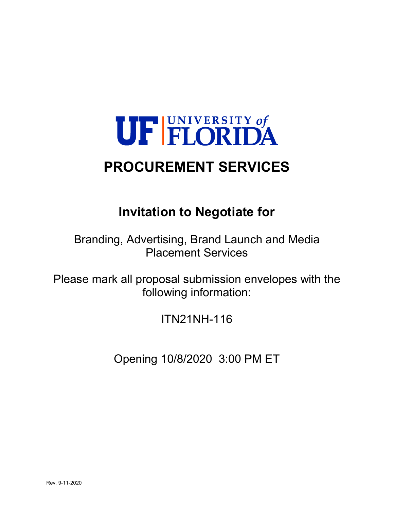# UF FLORIDA **PROCUREMENT SERVICES**

# **Invitation to Negotiate for**

Branding, Advertising, Brand Launch and Media Placement Services

Please mark all proposal submission envelopes with the following information:

ITN21NH-116

Opening 10/8/2020 3:00 PM ET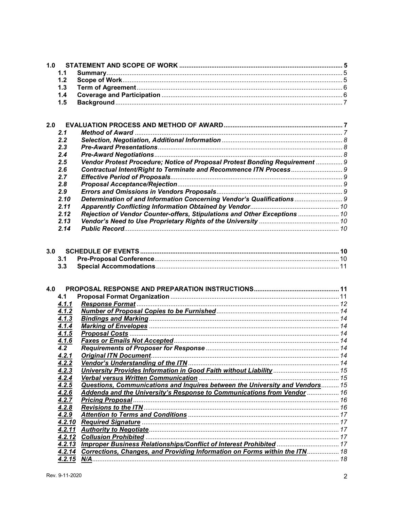|     | 1.1        |                                                                                   |  |
|-----|------------|-----------------------------------------------------------------------------------|--|
|     | 1.2        |                                                                                   |  |
|     | 1.3        |                                                                                   |  |
|     | 1.4        |                                                                                   |  |
|     | 1.5        |                                                                                   |  |
|     |            |                                                                                   |  |
|     |            |                                                                                   |  |
| 2.0 |            |                                                                                   |  |
|     | 2.1        |                                                                                   |  |
|     | 2.2        |                                                                                   |  |
|     | 2.3        |                                                                                   |  |
|     | 2.4        |                                                                                   |  |
|     | 2.5        | Vendor Protest Procedure; Notice of Proposal Protest Bonding Requirement  9       |  |
|     | 2.6        |                                                                                   |  |
|     | 2.7        |                                                                                   |  |
|     | 2.8        |                                                                                   |  |
|     | 2.9        |                                                                                   |  |
|     | 2.10       | Determination of and Information Concerning Vendor's Qualifications  9            |  |
|     | 2.11       |                                                                                   |  |
|     | 2.12       | Rejection of Vendor Counter-offers, Stipulations and Other Exceptions  10         |  |
|     |            |                                                                                   |  |
|     | 2.13       |                                                                                   |  |
|     | 2.14       |                                                                                   |  |
|     | 3.1<br>3.3 |                                                                                   |  |
|     |            |                                                                                   |  |
| 4.0 |            |                                                                                   |  |
|     | 4.1        |                                                                                   |  |
|     | 4.1.1      |                                                                                   |  |
|     | 4.1.2      |                                                                                   |  |
|     | 4.1.3      |                                                                                   |  |
|     | 4.1.4      |                                                                                   |  |
|     | 4.1.5      |                                                                                   |  |
|     | 4.1.6      |                                                                                   |  |
|     | 4.2        |                                                                                   |  |
|     | 4.2.1      |                                                                                   |  |
|     | 4.2.2      |                                                                                   |  |
|     | 4.2.3      |                                                                                   |  |
|     | 4.2.4      |                                                                                   |  |
|     | 4.2.5      | Questions, Communications and Inquires between the University and Vendors 15      |  |
|     | 4.2.6      | Addenda and the University's Response to Communications from Vendor  16           |  |
|     | 4.2.7      |                                                                                   |  |
|     | 4.2.8      |                                                                                   |  |
|     | 4.2.9      |                                                                                   |  |
|     | 4.2.10     |                                                                                   |  |
|     | 4.2.11     |                                                                                   |  |
|     | 4.2.12     |                                                                                   |  |
|     | 4.2.13     | Improper Business Relationships/Conflict of Interest Prohibited  17               |  |
|     |            | 4.2.14 Corrections, Changes, and Providing Information on Forms within the ITN 18 |  |
|     |            |                                                                                   |  |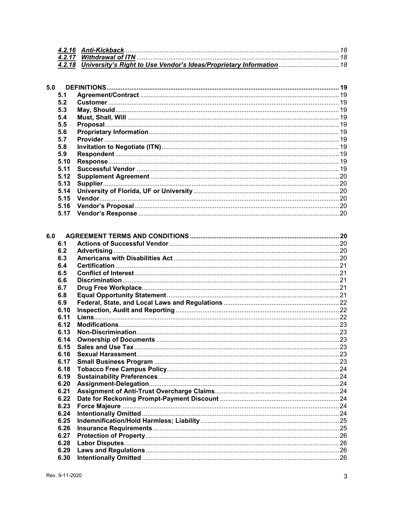| 4.2.18 University's Right to Use Vendor's Ideas/Proprietary Information 18 |  |
|----------------------------------------------------------------------------|--|

| 5.0 |      |  |
|-----|------|--|
| 5.1 |      |  |
| 5.2 |      |  |
| 5.3 |      |  |
| 5.4 |      |  |
| 5.5 |      |  |
| 5.6 |      |  |
| 5.7 |      |  |
| 5.8 |      |  |
| 5.9 |      |  |
|     | 5.10 |  |
|     | 5.11 |  |
|     | 5.12 |  |
|     | 5.13 |  |
|     | 5.14 |  |
|     | 5.15 |  |
|     | 5.16 |  |
|     | 5.17 |  |

| 6.1  |  |
|------|--|
| 6.2  |  |
| 6.3  |  |
| 6.4  |  |
| 6.5  |  |
| 6.6  |  |
| 6.7  |  |
| 6.8  |  |
| 6.9  |  |
| 6.10 |  |
| 6.11 |  |
| 6.12 |  |
| 6.13 |  |
| 6.14 |  |
| 6.15 |  |
| 6.16 |  |
| 6.17 |  |
| 6.18 |  |
| 6.19 |  |
| 6.20 |  |
| 6.21 |  |
| 6.22 |  |
| 6.23 |  |
| 6.24 |  |
| 6.25 |  |
| 6.26 |  |
| 6.27 |  |
| 6.28 |  |
| 6.29 |  |
| 6.30 |  |
|      |  |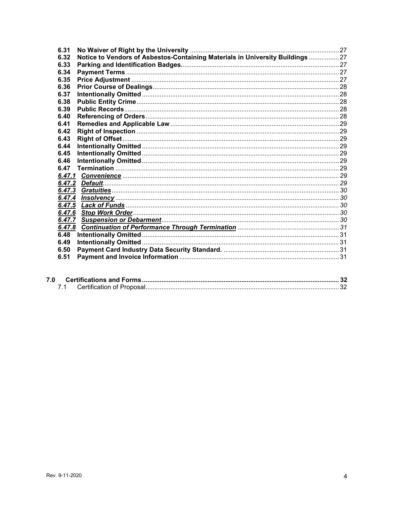| 6.31                                                                                   |  |
|----------------------------------------------------------------------------------------|--|
| Notice to Vendors of Asbestos-Containing Materials in University Buildings  27<br>6.32 |  |
| 6.33                                                                                   |  |
| 6.34                                                                                   |  |
| 6.35                                                                                   |  |
| 6.36                                                                                   |  |
| 6.37                                                                                   |  |
| 6.38                                                                                   |  |
| 6.39                                                                                   |  |
| 6.40                                                                                   |  |
| 6.41                                                                                   |  |
| 6.42                                                                                   |  |
| 6.43                                                                                   |  |
| 6.44                                                                                   |  |
| 6.45                                                                                   |  |
| 6.46                                                                                   |  |
| 6.47                                                                                   |  |
|                                                                                        |  |
| 6.47.2                                                                                 |  |
| 6.47.3                                                                                 |  |
| 6.47.4                                                                                 |  |
| 6.47.5                                                                                 |  |
| 6.47.6                                                                                 |  |
| 6.47.7                                                                                 |  |
| 6.47.8                                                                                 |  |
| 6.48                                                                                   |  |
| 6.49                                                                                   |  |
| 6.50                                                                                   |  |
| 6.51                                                                                   |  |
|                                                                                        |  |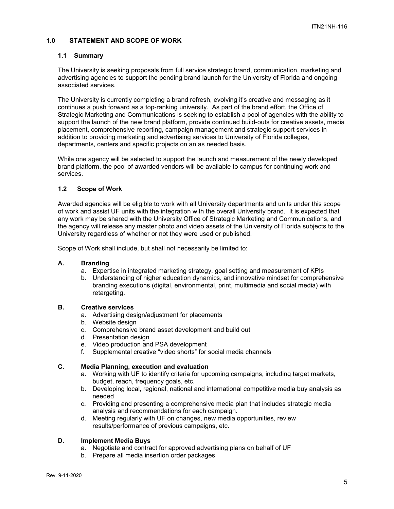#### **1.0 STATEMENT AND SCOPE OF WORK**

#### **1.1 Summary**

The University is seeking proposals from full service strategic brand, communication, marketing and advertising agencies to support the pending brand launch for the University of Florida and ongoing associated services.

The University is currently completing a brand refresh, evolving it's creative and messaging as it continues a push forward as a top-ranking university. As part of the brand effort, the Office of Strategic Marketing and Communications is seeking to establish a pool of agencies with the ability to support the launch of the new brand platform, provide continued build-outs for creative assets, media placement, comprehensive reporting, campaign management and strategic support services in addition to providing marketing and advertising services to University of Florida colleges, departments, centers and specific projects on an as needed basis.

While one agency will be selected to support the launch and measurement of the newly developed brand platform, the pool of awarded vendors will be available to campus for continuing work and services.

#### **1.2 Scope of Work**

Awarded agencies will be eligible to work with all University departments and units under this scope of work and assist UF units with the integration with the overall University brand. It is expected that any work may be shared with the University Office of Strategic Marketing and Communications, and the agency will release any master photo and video assets of the University of Florida subjects to the University regardless of whether or not they were used or published.

Scope of Work shall include, but shall not necessarily be limited to:

#### **A. Branding**

- a. Expertise in integrated marketing strategy, goal setting and measurement of KPIs
- b. Understanding of higher education dynamics, and innovative mindset for comprehensive branding executions (digital, environmental, print, multimedia and social media) with retargeting.

# **B. Creative services**

- a. Advertising design/adjustment for placements
- b. Website design
- c. Comprehensive brand asset development and build out
- d. Presentation design
- e. Video production and PSA development
- f. Supplemental creative "video shorts" for social media channels

# **C. Media Planning, execution and evaluation**

- a. Working with UF to identify criteria for upcoming campaigns, including target markets, budget, reach, frequency goals, etc.
- b. Developing local, regional, national and international competitive media buy analysis as needed
- c. Providing and presenting a comprehensive media plan that includes strategic media analysis and recommendations for each campaign.
- d. Meeting regularly with UF on changes, new media opportunities, review results/performance of previous campaigns, etc.

#### **D. Implement Media Buys**

- a. Negotiate and contract for approved advertising plans on behalf of UF
- b. Prepare all media insertion order packages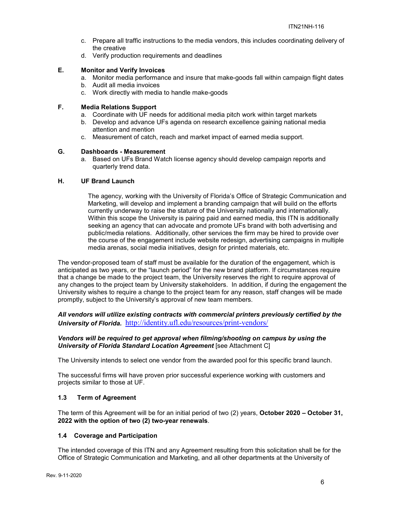- c. Prepare all traffic instructions to the media vendors, this includes coordinating delivery of the creative
- d. Verify production requirements and deadlines

# **E. Monitor and Verify Invoices**

- a. Monitor media performance and insure that make-goods fall within campaign flight dates
- b. Audit all media invoices
- c. Work directly with media to handle make-goods

#### **F. Media Relations Support**

- a. Coordinate with UF needs for additional media pitch work within target markets
- b. Develop and advance UFs agenda on research excellence gaining national media attention and mention
- c. Measurement of catch, reach and market impact of earned media support.

#### **G. Dashboards - Measurement**

a. Based on UFs Brand Watch license agency should develop campaign reports and quarterly trend data.

#### **H. UF Brand Launch**

The agency, working with the University of Florida's Office of Strategic Communication and Marketing, will develop and implement a branding campaign that will build on the efforts currently underway to raise the stature of the University nationally and internationally. Within this scope the University is pairing paid and earned media, this ITN is additionally seeking an agency that can advocate and promote UFs brand with both advertising and public/media relations. Additionally, other services the firm may be hired to provide over the course of the engagement include website redesign, advertising campaigns in multiple media arenas, social media initiatives, design for printed materials, etc.

The vendor-proposed team of staff must be available for the duration of the engagement, which is anticipated as two years, or the "launch period" for the new brand platform. If circumstances require that a change be made to the project team, the University reserves the right to require approval of any changes to the project team by University stakeholders. In addition, if during the engagement the University wishes to require a change to the project team for any reason, staff changes will be made promptly, subject to the University's approval of new team members.

# *All vendors will utilize existing contracts with commercial printers previously certified by the University of Florida.* <http://identity.ufl.edu/resources/print-vendors/>

#### *Vendors will be required to get approval when filming/shooting on campus by using the University of Florida Standard Location Agreement* [see Attachment C]

The University intends to select one vendor from the awarded pool for this specific brand launch.

The successful firms will have proven prior successful experience working with customers and projects similar to those at UF.

#### **1.3 Term of Agreement**

The term of this Agreement will be for an initial period of two (2) years, **October 2020 – October 31, 2022 with the option of two (2) two-year renewals**.

#### **1.4 Coverage and Participation**

The intended coverage of this ITN and any Agreement resulting from this solicitation shall be for the Office of Strategic Communication and Marketing, and all other departments at the University of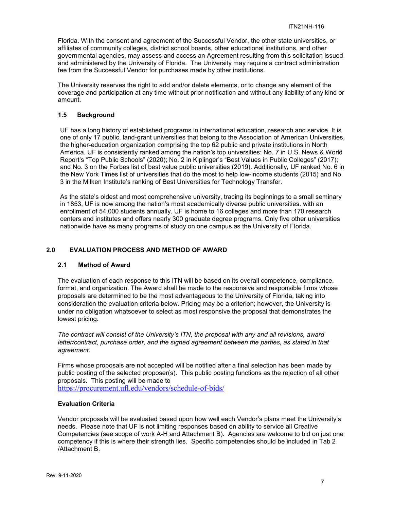Florida. With the consent and agreement of the Successful Vendor, the other state universities, or affiliates of community colleges, district school boards, other educational institutions, and other governmental agencies, may assess and access an Agreement resulting from this solicitation issued and administered by the University of Florida. The University may require a contract administration fee from the Successful Vendor for purchases made by other institutions.

The University reserves the right to add and/or delete elements, or to change any element of the coverage and participation at any time without prior notification and without any liability of any kind or amount.

#### **1.5 Background**

UF has a long history of established programs in international education, research and service. It is one of only 17 public, land-grant universities that belong to the Association of American Universities, the higher-education organization comprising the top 62 public and private institutions in North America. UF is consistently ranked among the nation's top universities: No. 7 in U.S. News & World Report's "Top Public Schools" (2020); No. 2 in Kiplinger's "Best Values in Public Colleges" (2017); and No. 3 on the Forbes list of best value public universities (2019). Additionally, UF ranked No. 6 in the New York Times list of universities that do the most to help low-income students (2015) and No. 3 in the Milken Institute's ranking of Best Universities for Technology Transfer.

As the state's oldest and most comprehensive university, tracing its beginnings to a small seminary in 1853, UF is now among the nation's most academically diverse public universities. with an enrollment of 54,000 students annually. UF is home to 16 colleges and more than 170 research centers and institutes and offers nearly 300 graduate degree programs. Only five other universities nationwide have as many programs of study on one campus as the University of Florida.

#### **2.0 EVALUATION PROCESS AND METHOD OF AWARD**

#### **2.1 Method of Award**

The evaluation of each response to this ITN will be based on its overall competence, compliance, format, and organization. The Award shall be made to the responsive and responsible firms whose proposals are determined to be the most advantageous to the University of Florida, taking into consideration the evaluation criteria below. Pricing may be a criterion; however, the University is under no obligation whatsoever to select as most responsive the proposal that demonstrates the lowest pricing.

*The contract will consist of the University's ITN, the proposal with any and all revisions, award*  letter/contract, purchase order, and the signed agreement between the parties, as stated in that *agreement.*

Firms whose proposals are not accepted will be notified after a final selection has been made by public posting of the selected proposer(s). This public posting functions as the rejection of all other proposals. This posting will be made to

<https://procurement.ufl.edu/vendors/schedule-of-bids/>

#### **Evaluation Criteria**

Vendor proposals will be evaluated based upon how well each Vendor's plans meet the University's needs. Please note that UF is not limiting responses based on ability to service all Creative Competencies (see scope of work A-H and Attachment B). Agencies are welcome to bid on just one competency if this is where their strength lies. Specific competencies should be included in Tab 2 /Attachment B.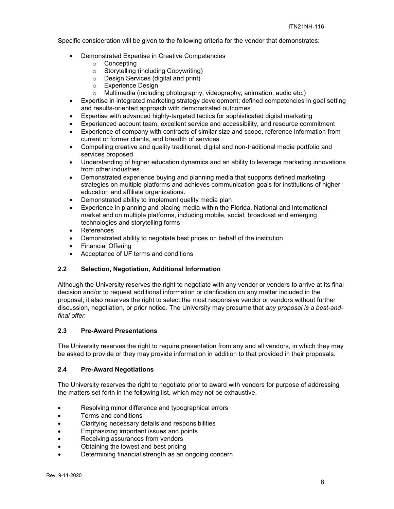Specific consideration will be given to the following criteria for the vendor that demonstrates:

- Demonstrated Expertise in Creative Competencies
	- o Concepting<br>
	o Storytellina
	- Storytelling (including Copywriting)<br>○ Design Services (digital and print)
	- Design Services (digital and print)<br>○ Experience Design
	- o Experience Design<br>∩ Multimedia (includir
	- Multimedia (including photography, videography, animation, audio etc.)
- Expertise in integrated marketing strategy development; defined competencies in goal setting and results-oriented approach with demonstrated outcomes
- Expertise with advanced highly-targeted tactics for sophisticated digital marketing
- Experienced account team, excellent service and accessibility, and resource commitment
- Experience of company with contracts of similar size and scope, reference information from current or former clients, and breadth of services
- Compelling creative and quality traditional, digital and non-traditional media portfolio and services proposed
- Understanding of higher education dynamics and an ability to leverage marketing innovations from other industries
- Demonstrated experience buying and planning media that supports defined marketing strategies on multiple platforms and achieves communication goals for institutions of higher education and affiliate organizations.
- Demonstrated ability to implement quality media plan
- Experience in planning and placing media within the Florida, National and International market and on multiple platforms, including mobile, social, broadcast and emerging technologies and storytelling forms
- References
- Demonstrated ability to negotiate best prices on behalf of the institution
- Financial Offering
- Acceptance of UF terms and conditions

# **2.2 Selection, Negotiation, Additional Information**

Although the University reserves the right to negotiate with any vendor or vendors to arrive at its final decision and/or to request additional information or clarification on any matter included in the proposal, it also reserves the right to select the most responsive vendor or vendors without further discussion, negotiation, or prior notice. The University may presume that *any proposal is a best-andfinal offer.*

#### **2.3 Pre-Award Presentations**

The University reserves the right to require presentation from any and all vendors, in which they may be asked to provide or they may provide information in addition to that provided in their proposals.

#### **2.4 Pre-Award Negotiations**

The University reserves the right to negotiate prior to award with vendors for purpose of addressing the matters set forth in the following list, which may not be exhaustive.

- Resolving minor difference and typographical errors
- Terms and conditions
- Clarifying necessary details and responsibilities
- Emphasizing important issues and points
- Receiving assurances from vendors
- Obtaining the lowest and best pricing
- Determining financial strength as an ongoing concern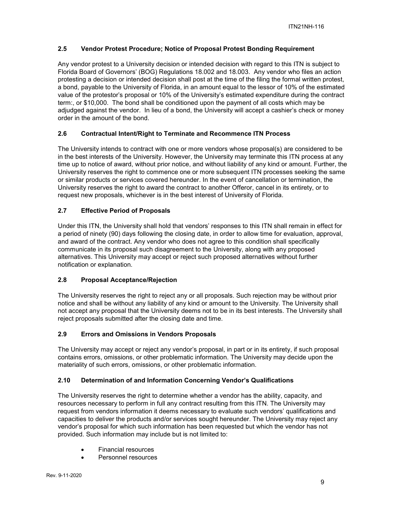# **2.5 Vendor Protest Procedure; Notice of Proposal Protest Bonding Requirement**

Any vendor protest to a University decision or intended decision with regard to this ITN is subject to Florida Board of Governors' (BOG) Regulations 18.002 and 18.003. Any vendor who files an action protesting a decision or intended decision shall post at the time of the filing the formal written protest, a bond, payable to the University of Florida, in an amount equal to the lessor of 10% of the estimated value of the protestor's proposal or 10% of the University's estimated expenditure during the contract term:, or \$10,000. The bond shall be conditioned upon the payment of all costs which may be adjudged against the vendor. In lieu of a bond, the University will accept a cashier's check or money order in the amount of the bond.

# **2.6 Contractual Intent/Right to Terminate and Recommence ITN Process**

The University intends to contract with one or more vendors whose proposal(s) are considered to be in the best interests of the University. However, the University may terminate this ITN process at any time up to notice of award, without prior notice, and without liability of any kind or amount. Further, the University reserves the right to commence one or more subsequent ITN processes seeking the same or similar products or services covered hereunder. In the event of cancellation or termination, the University reserves the right to award the contract to another Offeror, cancel in its entirety, or to request new proposals, whichever is in the best interest of University of Florida.

# **2.7 Effective Period of Proposals**

Under this ITN, the University shall hold that vendors' responses to this ITN shall remain in effect for a period of ninety (90) days following the closing date, in order to allow time for evaluation, approval, and award of the contract. Any vendor who does not agree to this condition shall specifically communicate in its proposal such disagreement to the University, along with any proposed alternatives. This University may accept or reject such proposed alternatives without further notification or explanation.

# **2.8 Proposal Acceptance/Rejection**

The University reserves the right to reject any or all proposals. Such rejection may be without prior notice and shall be without any liability of any kind or amount to the University. The University shall not accept any proposal that the University deems not to be in its best interests. The University shall reject proposals submitted after the closing date and time.

# **2.9 Errors and Omissions in Vendors Proposals**

The University may accept or reject any vendor's proposal, in part or in its entirety, if such proposal contains errors, omissions, or other problematic information. The University may decide upon the materiality of such errors, omissions, or other problematic information.

# **2.10 Determination of and Information Concerning Vendor's Qualifications**

The University reserves the right to determine whether a vendor has the ability, capacity, and resources necessary to perform in full any contract resulting from this ITN. The University may request from vendors information it deems necessary to evaluate such vendors' qualifications and capacities to deliver the products and/or services sought hereunder. The University may reject any vendor's proposal for which such information has been requested but which the vendor has not provided. Such information may include but is not limited to:

- Financial resources
- Personnel resources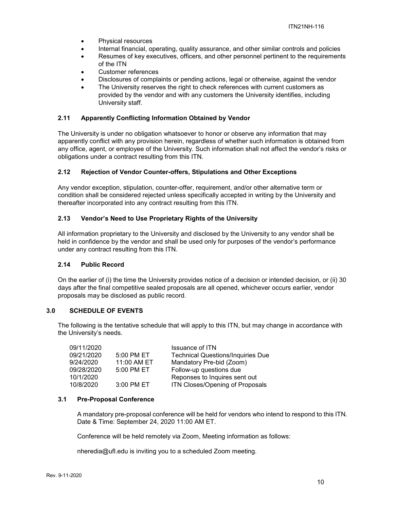- Physical resources
- Internal financial, operating, quality assurance, and other similar controls and policies
- Resumes of key executives, officers, and other personnel pertinent to the requirements of the ITN
- Customer references
- Disclosures of complaints or pending actions, legal or otherwise, against the vendor
- The University reserves the right to check references with current customers as provided by the vendor and with any customers the University identifies, including University staff.

# **2.11 Apparently Conflicting Information Obtained by Vendor**

The University is under no obligation whatsoever to honor or observe any information that may apparently conflict with any provision herein, regardless of whether such information is obtained from any office, agent, or employee of the University. Such information shall not affect the vendor's risks or obligations under a contract resulting from this ITN.

#### **2.12 Rejection of Vendor Counter-offers, Stipulations and Other Exceptions**

Any vendor exception, stipulation, counter-offer, requirement, and/or other alternative term or condition shall be considered rejected unless specifically accepted in writing by the University and thereafter incorporated into any contract resulting from this ITN.

#### **2.13 Vendor's Need to Use Proprietary Rights of the University**

All information proprietary to the University and disclosed by the University to any vendor shall be held in confidence by the vendor and shall be used only for purposes of the vendor's performance under any contract resulting from this ITN.

#### **2.14 Public Record**

On the earlier of (i) the time the University provides notice of a decision or intended decision, or (ii) 30 days after the final competitive sealed proposals are all opened, whichever occurs earlier, vendor proposals may be disclosed as public record.

#### **3.0 SCHEDULE OF EVENTS**

The following is the tentative schedule that will apply to this ITN, but may change in accordance with the University's needs.

| 09/11/2020 |             | <b>Issuance of ITN</b>                   |
|------------|-------------|------------------------------------------|
| 09/21/2020 | 5:00 PM ET  | <b>Technical Questions/Inquiries Due</b> |
| 9/24/2020  | 11:00 AM ET | Mandatory Pre-bid (Zoom)                 |
| 09/28/2020 | 5:00 PM ET  | Follow-up questions due                  |
| 10/1/2020  |             | Reponses to Inquires sent out            |
| 10/8/2020  | 3:00 PM ET  | ITN Closes/Opening of Proposals          |

# **3.1 Pre-Proposal Conference**

A mandatory pre-proposal conference will be held for vendors who intend to respond to this ITN. Date & Time: September 24, 2020 11:00 AM ET.

Conference will be held remotely via Zoom, Meeting information as follows:

nheredia@ufl.edu is inviting you to a scheduled Zoom meeting.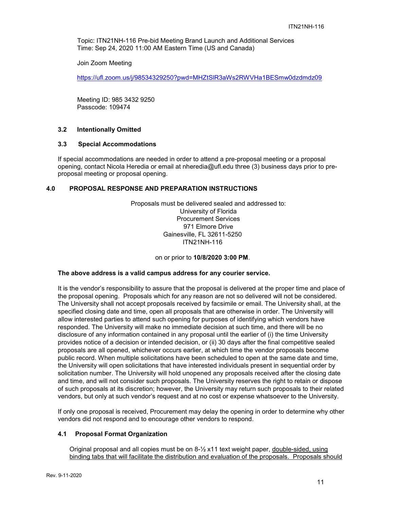Topic: ITN21NH-116 Pre-bid Meeting Brand Launch and Additional Services Time: Sep 24, 2020 11:00 AM Eastern Time (US and Canada)

Join Zoom Meeting

<https://ufl.zoom.us/j/98534329250?pwd=MHZtSlR3aWs2RWVHa1BESmw0dzdmdz09>

Meeting ID: 985 3432 9250 Passcode: 109474

#### **3.2 Intentionally Omitted**

#### **3.3 Special Accommodations**

If special accommodations are needed in order to attend a pre-proposal meeting or a proposal opening, contact Nicola Heredia or email at nheredia@ufl.edu three (3) business days prior to preproposal meeting or proposal opening.

#### **4.0 PROPOSAL RESPONSE AND PREPARATION INSTRUCTIONS**

Proposals must be delivered sealed and addressed to: University of Florida Procurement Services 971 Elmore Drive Gainesville, FL 32611-5250 ITN21NH-116

on or prior to **10/8/2020 3:00 PM**.

#### **The above address is a valid campus address for any courier service.**

It is the vendor's responsibility to assure that the proposal is delivered at the proper time and place of the proposal opening. Proposals which for any reason are not so delivered will not be considered. The University shall not accept proposals received by facsimile or email. The University shall, at the specified closing date and time, open all proposals that are otherwise in order. The University will allow interested parties to attend such opening for purposes of identifying which vendors have responded. The University will make no immediate decision at such time, and there will be no disclosure of any information contained in any proposal until the earlier of (i) the time University provides notice of a decision or intended decision, or (ii) 30 days after the final competitive sealed proposals are all opened, whichever occurs earlier, at which time the vendor proposals become public record. When multiple solicitations have been scheduled to open at the same date and time, the University will open solicitations that have interested individuals present in sequential order by solicitation number. The University will hold unopened any proposals received after the closing date and time, and will not consider such proposals. The University reserves the right to retain or dispose of such proposals at its discretion; however, the University may return such proposals to their related vendors, but only at such vendor's request and at no cost or expense whatsoever to the University.

If only one proposal is received, Procurement may delay the opening in order to determine why other vendors did not respond and to encourage other vendors to respond.

#### **4.1 Proposal Format Organization**

Original proposal and all copies must be on 8-½ x11 text weight paper, double-sided, using binding tabs that will facilitate the distribution and evaluation of the proposals. Proposals should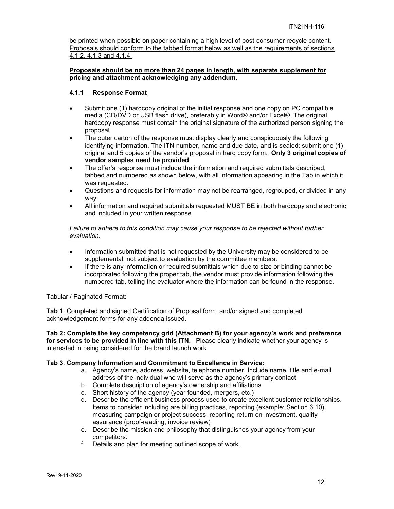be printed when possible on paper containing a high level of post-consumer recycle content. Proposals should conform to the tabbed format below as well as the requirements of sections 4.1.2, 4.1.3 and 4.1.4.

#### **Proposals should be no more than 24 pages in length, with separate supplement for pricing and attachment acknowledging any addendum.**

#### **4.1.1 Response Format**

- Submit one (1) hardcopy original of the initial response and one copy on PC compatible media (CD/DVD or USB flash drive), preferably in Word® and/or Excel®. The original hardcopy response must contain the original signature of the authorized person signing the proposal.
- The outer carton of the response must display clearly and conspicuously the following identifying information, The ITN number, name and due date*,* and is sealed; submit one (1) original and 5 copies of the vendor's proposal in hard copy form. **Only 3 original copies of vendor samples need be provided**.
- The offer's response must include the information and required submittals described. tabbed and numbered as shown below, with all information appearing in the Tab in which it was requested.
- Questions and requests for information may not be rearranged, regrouped, or divided in any way.
- All information and required submittals requested MUST BE in both hardcopy and electronic and included in your written response.

#### *Failure to adhere to this condition may cause your response to be rejected without further evaluation.*

- Information submitted that is not requested by the University may be considered to be supplemental, not subject to evaluation by the committee members.
- If there is any information or required submittals which due to size or binding cannot be incorporated following the proper tab, the vendor must provide information following the numbered tab, telling the evaluator where the information can be found in the response.

Tabular / Paginated Format:

**Tab 1**: Completed and signed Certification of Proposal form, and/or signed and completed acknowledgement forms for any addenda issued.

**Tab 2: Complete the key competency grid (Attachment B) for your agency's work and preference for services to be provided in line with this ITN.** Please clearly indicate whether your agency is interested in being considered for the brand launch work.

# **Tab 3**: **Company Information and Commitment to Excellence in Service:**

- a. Agency's name, address, website, telephone number. Include name, title and e-mail address of the individual who will serve as the agency's primary contact.
- b. Complete description of agency's ownership and affiliations.
- c. Short history of the agency (year founded, mergers, etc.)
- d. Describe the efficient business process used to create excellent customer relationships. Items to consider including are billing practices, reporting (example: Section 6.10), measuring campaign or project success, reporting return on investment, quality assurance (proof-reading, invoice review)
- e. Describe the mission and philosophy that distinguishes your agency from your competitors.
- f. Details and plan for meeting outlined scope of work.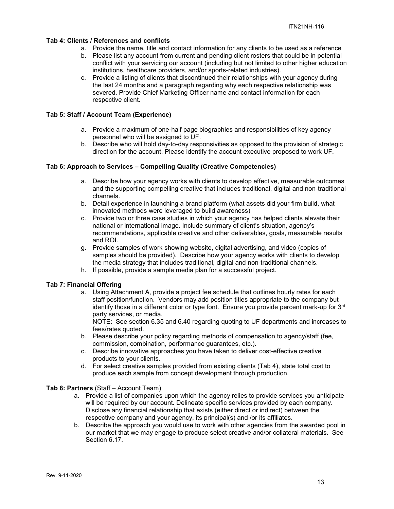#### **Tab 4: Clients / References and conflicts**

- a. Provide the name, title and contact information for any clients to be used as a reference
- b. Please list any account from current and pending client rosters that could be in potential conflict with your servicing our account (including but not limited to other higher education institutions, healthcare providers, and/or sports-related industries).
- c. Provide a listing of clients that discontinued their relationships with your agency during the last 24 months and a paragraph regarding why each respective relationship was severed. Provide Chief Marketing Officer name and contact information for each respective client.

#### **Tab 5: Staff / Account Team (Experience)**

- a. Provide a maximum of one-half page biographies and responsibilities of key agency personnel who will be assigned to UF.
- b. Describe who will hold day-to-day responsivities as opposed to the provision of strategic direction for the account. Please identify the account executive proposed to work UF.

#### **Tab 6: Approach to Services – Compelling Quality (Creative Competencies)**

- a. Describe how your agency works with clients to develop effective, measurable outcomes and the supporting compelling creative that includes traditional, digital and non-traditional channels.
- b. Detail experience in launching a brand platform (what assets did your firm build, what innovated methods were leveraged to build awareness)
- c. Provide two or three case studies in which your agency has helped clients elevate their national or international image. Include summary of client's situation, agency's recommendations, applicable creative and other deliverables, goals, measurable results and ROI.
- g. Provide samples of work showing website, digital advertising, and video (copies of samples should be provided). Describe how your agency works with clients to develop the media strategy that includes traditional, digital and non-traditional channels.
- h. If possible, provide a sample media plan for a successful project.

#### **Tab 7: Financial Offering**

a. Using Attachment A, provide a project fee schedule that outlines hourly rates for each staff position/function. Vendors may add position titles appropriate to the company but identify those in a different color or type font. Ensure you provide percent mark-up for 3rd party services, or media.

NOTE: See section 6.35 and 6.40 regarding quoting to UF departments and increases to fees/rates quoted.

- b. Please describe your policy regarding methods of compensation to agency/staff (fee, commission, combination, performance guarantees, etc.).
- c. Describe innovative approaches you have taken to deliver cost-effective creative products to your clients.
- d. For select creative samples provided from existing clients (Tab 4), state total cost to produce each sample from concept development through production.

#### **Tab 8: Partners** (Staff – Account Team)

- a. Provide a list of companies upon which the agency relies to provide services you anticipate will be required by our account. Delineate specific services provided by each company. Disclose any financial relationship that exists (either direct or indirect) between the respective company and your agency, its principal(s) and /or its affiliates.
- b. Describe the approach you would use to work with other agencies from the awarded pool in our market that we may engage to produce select creative and/or collateral materials. See Section 6.17.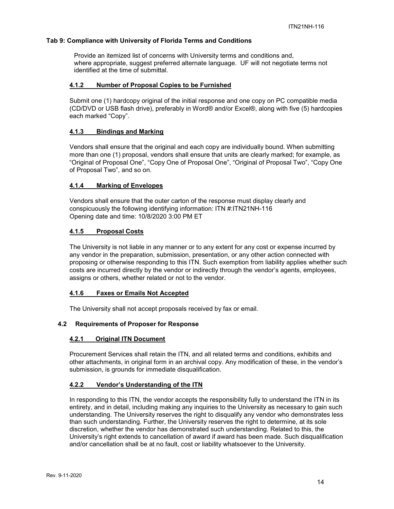#### **Tab 9: Compliance with University of Florida Terms and Conditions**

Provide an itemized list of concerns with University terms and conditions and, where appropriate, suggest preferred alternate language. UF will not negotiate terms not identified at the time of submittal.

#### **4.1.2 Number of Proposal Copies to be Furnished**

Submit one (1) hardcopy original of the initial response and one copy on PC compatible media (CD/DVD or USB flash drive), preferably in Word® and/or Excel®, along with five (5) hardcopies each marked "Copy".

# **4.1.3 Bindings and Marking**

Vendors shall ensure that the original and each copy are individually bound. When submitting more than one (1) proposal, vendors shall ensure that units are clearly marked; for example, as "Original of Proposal One", "Copy One of Proposal One", "Original of Proposal Two", "Copy One of Proposal Two", and so on.

# **4.1.4 Marking of Envelopes**

Vendors shall ensure that the outer carton of the response must display clearly and conspicuously the following identifying information: ITN #:ITN21NH-116 Opening date and time: 10/8/2020 3:00 PM ET

#### **4.1.5 Proposal Costs**

The University is not liable in any manner or to any extent for any cost or expense incurred by any vendor in the preparation, submission, presentation, or any other action connected with proposing or otherwise responding to this ITN. Such exemption from liability applies whether such costs are incurred directly by the vendor or indirectly through the vendor's agents, employees, assigns or others, whether related or not to the vendor.

#### **4.1.6 Faxes or Emails Not Accepted**

The University shall not accept proposals received by fax or email.

# **4.2 Requirements of Proposer for Response**

#### **4.2.1 Original ITN Document**

Procurement Services shall retain the ITN, and all related terms and conditions, exhibits and other attachments, in original form in an archival copy. Any modification of these, in the vendor's submission, is grounds for immediate disqualification.

# **4.2.2 Vendor's Understanding of the ITN**

In responding to this ITN, the vendor accepts the responsibility fully to understand the ITN in its entirety, and in detail, including making any inquiries to the University as necessary to gain such understanding. The University reserves the right to disqualify any vendor who demonstrates less than such understanding. Further, the University reserves the right to determine, at its sole discretion, whether the vendor has demonstrated such understanding. Related to this, the University's right extends to cancellation of award if award has been made. Such disqualification and/or cancellation shall be at no fault, cost or liability whatsoever to the University.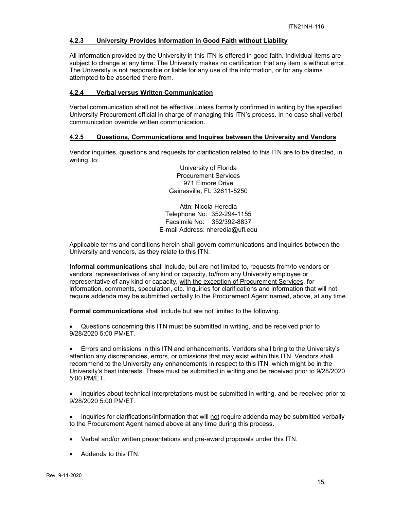#### **4.2.3 University Provides Information in Good Faith without Liability**

All information provided by the University in this ITN is offered in good faith. Individual items are subject to change at any time. The University makes no certification that any item is without error. The University is not responsible or liable for any use of the information, or for any claims attempted to be asserted there from.

#### **4.2.4 Verbal versus Written Communication**

Verbal communication shall not be effective unless formally confirmed in writing by the specified University Procurement official in charge of managing this ITN's process. In no case shall verbal communication override written communication.

#### **4.2.5 Questions, Communications and Inquires between the University and Vendors**

Vendor inquiries, questions and requests for clarification related to this ITN are to be directed, in writing, to:

> University of Florida Procurement Services 971 Elmore Drive Gainesville, FL 32611-5250

Attn: Nicola Heredia Telephone No: 352-294-1155 Facsimile No: 352/392-8837 E-mail Address: nheredia@ufl.edu

Applicable terms and conditions herein shall govern communications and inquiries between the University and vendors, as they relate to this ITN.

**Informal communications** shall include, but are not limited to, requests from/to vendors or vendors' representatives of any kind or capacity, to/from any University employee or representative of any kind or capacity, with the exception of Procurement Services, for information, comments, speculation, etc. Inquiries for clarifications and information that will not require addenda may be submitted verbally to the Procurement Agent named, above, at any time.

**Formal communications** shall include but are not limited to the following.

• Questions concerning this ITN must be submitted in writing, and be received prior to 9/28/2020 5:00 PM/ET.

• Errors and omissions in this ITN and enhancements. Vendors shall bring to the University's attention any discrepancies, errors, or omissions that may exist within this ITN. Vendors shall recommend to the University any enhancements in respect to this ITN, which might be in the University's best interests. These must be submitted in writing and be received prior to 9/28/2020 5:00 PM/ET.

• Inquiries about technical interpretations must be submitted in writing, and be received prior to 9/28/2020 5:00 PM/ET.

• Inquiries for clarifications/information that will not require addenda may be submitted verbally to the Procurement Agent named above at any time during this process.

- Verbal and/or written presentations and pre-award proposals under this ITN.
- Addenda to this ITN.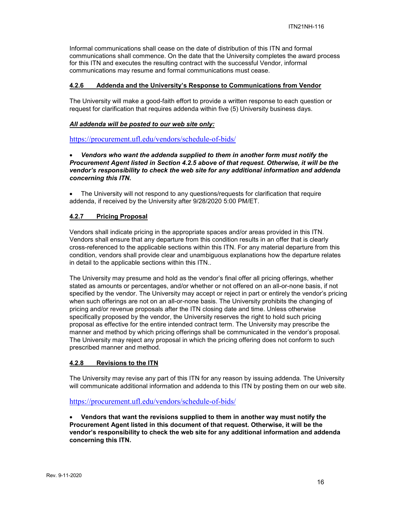Informal communications shall cease on the date of distribution of this ITN and formal communications shall commence. On the date that the University completes the award process for this ITN and executes the resulting contract with the successful Vendor, informal communications may resume and formal communications must cease.

#### **4.2.6 Addenda and the University's Response to Communications from Vendor**

The University will make a good-faith effort to provide a written response to each question or request for clarification that requires addenda within five (5) University business days.

#### *All addenda will be posted to our web site only:*

<https://procurement.ufl.edu/vendors/schedule-of-bids/>

#### • *Vendors who want the addenda supplied to them in another form must notify the Procurement Agent listed in Section 4.2.5 above of that request. Otherwise, it will be the vendor's responsibility to check the web site for any additional information and addenda concerning this ITN.*

• The University will not respond to any questions/requests for clarification that require addenda, if received by the University after 9/28/2020 5:00 PM/ET.

#### **4.2.7 Pricing Proposal**

Vendors shall indicate pricing in the appropriate spaces and/or areas provided in this ITN. Vendors shall ensure that any departure from this condition results in an offer that is clearly cross-referenced to the applicable sections within this ITN. For any material departure from this condition, vendors shall provide clear and unambiguous explanations how the departure relates in detail to the applicable sections within this ITN..

The University may presume and hold as the vendor's final offer all pricing offerings, whether stated as amounts or percentages, and/or whether or not offered on an all-or-none basis, if not specified by the vendor. The University may accept or reject in part or entirely the vendor's pricing when such offerings are not on an all-or-none basis. The University prohibits the changing of pricing and/or revenue proposals after the ITN closing date and time. Unless otherwise specifically proposed by the vendor, the University reserves the right to hold such pricing proposal as effective for the entire intended contract term. The University may prescribe the manner and method by which pricing offerings shall be communicated in the vendor's proposal. The University may reject any proposal in which the pricing offering does not conform to such prescribed manner and method.

#### **4.2.8 Revisions to the ITN**

The University may revise any part of this ITN for any reason by issuing addenda. The University will communicate additional information and addenda to this ITN by posting them on our web site.

<https://procurement.ufl.edu/vendors/schedule-of-bids/>

• **Vendors that want the revisions supplied to them in another way must notify the Procurement Agent listed in this document of that request. Otherwise, it will be the vendor's responsibility to check the web site for any additional information and addenda concerning this ITN.**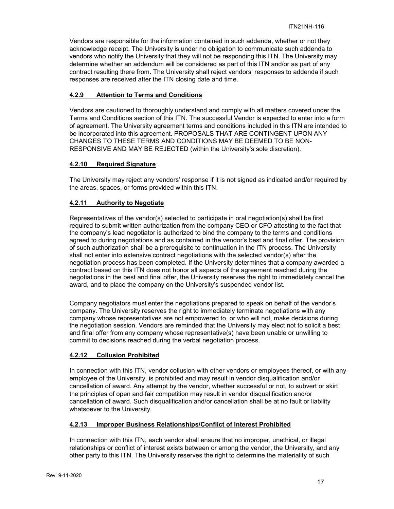Vendors are responsible for the information contained in such addenda, whether or not they acknowledge receipt. The University is under no obligation to communicate such addenda to vendors who notify the University that they will not be responding this ITN. The University may determine whether an addendum will be considered as part of this ITN and/or as part of any contract resulting there from. The University shall reject vendors' responses to addenda if such responses are received after the ITN closing date and time.

# **4.2.9 Attention to Terms and Conditions**

Vendors are cautioned to thoroughly understand and comply with all matters covered under the Terms and Conditions section of this ITN. The successful Vendor is expected to enter into a form of agreement. The University agreement terms and conditions included in this ITN are intended to be incorporated into this agreement. PROPOSALS THAT ARE CONTINGENT UPON ANY CHANGES TO THESE TERMS AND CONDITIONS MAY BE DEEMED TO BE NON-RESPONSIVE AND MAY BE REJECTED (within the University's sole discretion).

# **4.2.10 Required Signature**

The University may reject any vendors' response if it is not signed as indicated and/or required by the areas, spaces, or forms provided within this ITN.

# **4.2.11 Authority to Negotiate**

Representatives of the vendor(s) selected to participate in oral negotiation(s) shall be first required to submit written authorization from the company CEO or CFO attesting to the fact that the company's lead negotiator is authorized to bind the company to the terms and conditions agreed to during negotiations and as contained in the vendor's best and final offer. The provision of such authorization shall be a prerequisite to continuation in the ITN process. The University shall not enter into extensive contract negotiations with the selected vendor(s) after the negotiation process has been completed. If the University determines that a company awarded a contract based on this ITN does not honor all aspects of the agreement reached during the negotiations in the best and final offer, the University reserves the right to immediately cancel the award, and to place the company on the University's suspended vendor list.

Company negotiators must enter the negotiations prepared to speak on behalf of the vendor's company. The University reserves the right to immediately terminate negotiations with any company whose representatives are not empowered to, or who will not, make decisions during the negotiation session. Vendors are reminded that the University may elect not to solicit a best and final offer from any company whose representative(s) have been unable or unwilling to commit to decisions reached during the verbal negotiation process.

# **4.2.12 Collusion Prohibited**

In connection with this ITN, vendor collusion with other vendors or employees thereof, or with any employee of the University, is prohibited and may result in vendor disqualification and/or cancellation of award. Any attempt by the vendor, whether successful or not, to subvert or skirt the principles of open and fair competition may result in vendor disqualification and/or cancellation of award. Such disqualification and/or cancellation shall be at no fault or liability whatsoever to the University.

# **4.2.13 Improper Business Relationships/Conflict of Interest Prohibited**

In connection with this ITN, each vendor shall ensure that no improper, unethical, or illegal relationships or conflict of interest exists between or among the vendor, the University, and any other party to this ITN. The University reserves the right to determine the materiality of such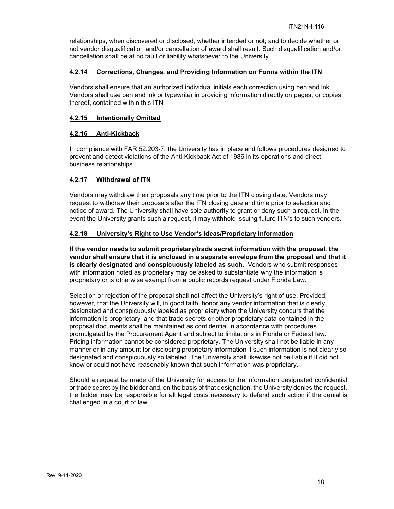relationships, when discovered or disclosed, whether intended or not; and to decide whether or not vendor disqualification and/or cancellation of award shall result. Such disqualification and/or cancellation shall be at no fault or liability whatsoever to the University.

#### **4.2.14 Corrections, Changes, and Providing Information on Forms within the ITN**

Vendors shall ensure that an authorized individual initials each correction using pen and ink. Vendors shall use pen and ink or typewriter in providing information directly on pages, or copies thereof, contained within this ITN.

#### **4.2.15 Intentionally Omitted**

#### **4.2.16 Anti-Kickback**

In compliance with FAR 52.203-7, the University has in place and follows procedures designed to prevent and detect violations of the Anti-Kickback Act of 1986 in its operations and direct business relationships.

#### **4.2.17 Withdrawal of ITN**

Vendors may withdraw their proposals any time prior to the ITN closing date. Vendors may request to withdraw their proposals after the ITN closing date and time prior to selection and notice of award. The University shall have sole authority to grant or deny such a request. In the event the University grants such a request, it may withhold issuing future ITN's to such vendors.

#### **4.2.18 University's Right to Use Vendor's Ideas/Proprietary Information**

**If the vendor needs to submit proprietary/trade secret information with the proposal, the vendor shall ensure that it is enclosed in a separate envelope from the proposal and that it is clearly designated and conspicuously labeled as such.** Vendors who submit responses with information noted as proprietary may be asked to substantiate why the information is proprietary or is otherwise exempt from a public records request under Florida Law.

Selection or rejection of the proposal shall not affect the University's right of use. Provided, however, that the University will, in good faith, honor any vendor information that is clearly designated and conspicuously labeled as proprietary when the University concurs that the information is proprietary, and that trade secrets or other proprietary data contained in the proposal documents shall be maintained as confidential in accordance with procedures promulgated by the Procurement Agent and subject to limitations in Florida or Federal law. Pricing information cannot be considered proprietary. The University shall not be liable in any manner or in any amount for disclosing proprietary information if such information is not clearly so designated and conspicuously so labeled. The University shall likewise not be liable if it did not know or could not have reasonably known that such information was proprietary.

Should a request be made of the University for access to the information designated confidential or trade secret by the bidder and, on the basis of that designation, the University denies the request, the bidder may be responsible for all legal costs necessary to defend such action if the denial is challenged in a court of law.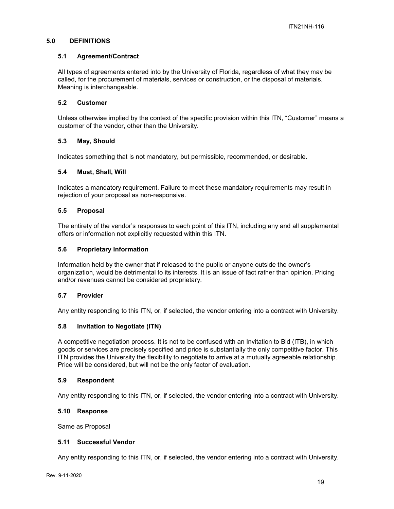# **5.0 DEFINITIONS**

#### **5.1 Agreement/Contract**

All types of agreements entered into by the University of Florida, regardless of what they may be called, for the procurement of materials, services or construction, or the disposal of materials. Meaning is interchangeable.

#### **5.2 Customer**

Unless otherwise implied by the context of the specific provision within this ITN, "Customer" means a customer of the vendor, other than the University.

# **5.3 May, Should**

Indicates something that is not mandatory, but permissible, recommended, or desirable.

#### **5.4 Must, Shall, Will**

Indicates a mandatory requirement. Failure to meet these mandatory requirements may result in rejection of your proposal as non-responsive.

#### **5.5 Proposal**

The entirety of the vendor's responses to each point of this ITN, including any and all supplemental offers or information not explicitly requested within this ITN.

#### **5.6 Proprietary Information**

Information held by the owner that if released to the public or anyone outside the owner's organization, would be detrimental to its interests. It is an issue of fact rather than opinion. Pricing and/or revenues cannot be considered proprietary.

#### **5.7 Provider**

Any entity responding to this ITN, or, if selected, the vendor entering into a contract with University.

# **5.8 Invitation to Negotiate (ITN)**

A competitive negotiation process. It is not to be confused with an Invitation to Bid (ITB), in which goods or services are precisely specified and price is substantially the only competitive factor. This ITN provides the University the flexibility to negotiate to arrive at a mutually agreeable relationship. Price will be considered, but will not be the only factor of evaluation.

#### **5.9 Respondent**

Any entity responding to this ITN, or, if selected, the vendor entering into a contract with University.

#### **5.10 Response**

Same as Proposal

#### **5.11 Successful Vendor**

Any entity responding to this ITN, or, if selected, the vendor entering into a contract with University.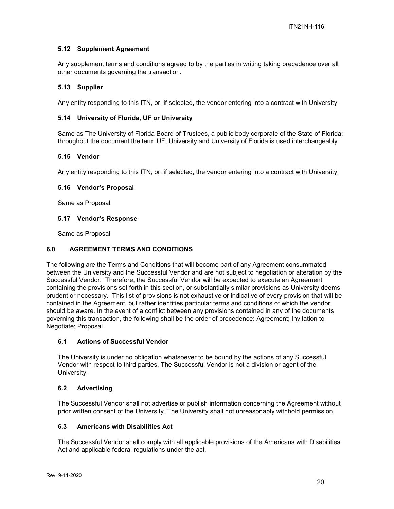# **5.12 Supplement Agreement**

Any supplement terms and conditions agreed to by the parties in writing taking precedence over all other documents governing the transaction.

#### **5.13 Supplier**

Any entity responding to this ITN, or, if selected, the vendor entering into a contract with University.

#### **5.14 University of Florida, UF or University**

Same as The University of Florida Board of Trustees, a public body corporate of the State of Florida; throughout the document the term UF, University and University of Florida is used interchangeably.

#### **5.15 Vendor**

Any entity responding to this ITN, or, if selected, the vendor entering into a contract with University.

#### **5.16 Vendor's Proposal**

Same as Proposal

#### **5.17 Vendor's Response**

Same as Proposal

#### **6.0 AGREEMENT TERMS AND CONDITIONS**

The following are the Terms and Conditions that will become part of any Agreement consummated between the University and the Successful Vendor and are not subject to negotiation or alteration by the Successful Vendor. Therefore, the Successful Vendor will be expected to execute an Agreement containing the provisions set forth in this section, or substantially similar provisions as University deems prudent or necessary. This list of provisions is not exhaustive or indicative of every provision that will be contained in the Agreement, but rather identifies particular terms and conditions of which the vendor should be aware. In the event of a conflict between any provisions contained in any of the documents governing this transaction, the following shall be the order of precedence: Agreement; Invitation to Negotiate; Proposal.

#### **6.1 Actions of Successful Vendor**

The University is under no obligation whatsoever to be bound by the actions of any Successful Vendor with respect to third parties. The Successful Vendor is not a division or agent of the University.

#### **6.2 Advertising**

The Successful Vendor shall not advertise or publish information concerning the Agreement without prior written consent of the University. The University shall not unreasonably withhold permission.

#### **6.3 Americans with Disabilities Act**

The Successful Vendor shall comply with all applicable provisions of the Americans with Disabilities Act and applicable federal regulations under the act.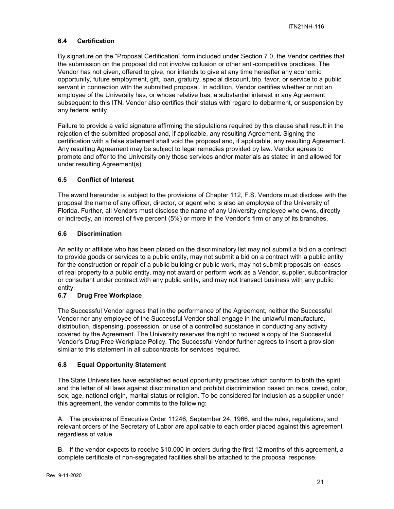# **6.4 Certification**

By signature on the "Proposal Certification" form included under Section 7.0, the Vendor certifies that the submission on the proposal did not involve collusion or other anti-competitive practices. The Vendor has not given, offered to give, nor intends to give at any time hereafter any economic opportunity, future employment, gift, loan, gratuity, special discount, trip, favor, or service to a public servant in connection with the submitted proposal. In addition, Vendor certifies whether or not an employee of the University has, or whose relative has, a substantial interest in any Agreement subsequent to this ITN. Vendor also certifies their status with regard to debarment, or suspension by any federal entity.

Failure to provide a valid signature affirming the stipulations required by this clause shall result in the rejection of the submitted proposal and, if applicable, any resulting Agreement. Signing the certification with a false statement shall void the proposal and, if applicable, any resulting Agreement. Any resulting Agreement may be subject to legal remedies provided by law. Vendor agrees to promote and offer to the University only those services and/or materials as stated in and allowed for under resulting Agreement(s).

# **6.5 Conflict of Interest**

The award hereunder is subject to the provisions of Chapter 112, F.S. Vendors must disclose with the proposal the name of any officer, director, or agent who is also an employee of the University of Florida. Further, all Vendors must disclose the name of any University employee who owns, directly or indirectly, an interest of five percent (5%) or more in the Vendor's firm or any of its branches.

#### **6.6 Discrimination**

An entity or affiliate who has been placed on the discriminatory list may not submit a bid on a contract to provide goods or services to a public entity, may not submit a bid on a contract with a public entity for the construction or repair of a public building or public work, may not submit proposals on leases of real property to a public entity, may not award or perform work as a Vendor, supplier, subcontractor or consultant under contract with any public entity, and may not transact business with any public entity.

# **6.7 Drug Free Workplace**

The Successful Vendor agrees that in the performance of the Agreement, neither the Successful Vendor nor any employee of the Successful Vendor shall engage in the unlawful manufacture, distribution, dispensing, possession, or use of a controlled substance in conducting any activity covered by the Agreement. The University reserves the right to request a copy of the Successful Vendor's Drug Free Workplace Policy. The Successful Vendor further agrees to insert a provision similar to this statement in all subcontracts for services required.

# **6.8 Equal Opportunity Statement**

The State Universities have established equal opportunity practices which conform to both the spirit and the letter of all laws against discrimination and prohibit discrimination based on race, creed, color, sex, age, national origin, marital status or religion. To be considered for inclusion as a supplier under this agreement, the vendor commits to the following:

A. The provisions of Executive Order 11246, September 24, 1966, and the rules, regulations, and relevant orders of the Secretary of Labor are applicable to each order placed against this agreement regardless of value.

B. If the vendor expects to receive \$10,000 in orders during the first 12 months of this agreement, a complete certificate of non-segregated facilities shall be attached to the proposal response.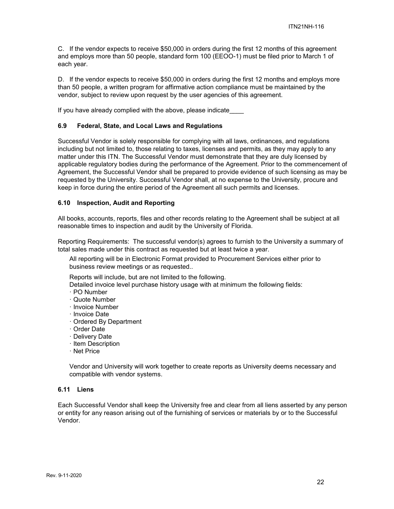C. If the vendor expects to receive \$50,000 in orders during the first 12 months of this agreement and employs more than 50 people, standard form 100 (EEOO-1) must be filed prior to March 1 of each year.

D. If the vendor expects to receive \$50,000 in orders during the first 12 months and employs more than 50 people, a written program for affirmative action compliance must be maintained by the vendor, subject to review upon request by the user agencies of this agreement.

If you have already complied with the above, please indicate

#### **6.9 Federal, State, and Local Laws and Regulations**

Successful Vendor is solely responsible for complying with all laws, ordinances, and regulations including but not limited to, those relating to taxes, licenses and permits, as they may apply to any matter under this ITN. The Successful Vendor must demonstrate that they are duly licensed by applicable regulatory bodies during the performance of the Agreement. Prior to the commencement of Agreement, the Successful Vendor shall be prepared to provide evidence of such licensing as may be requested by the University. Successful Vendor shall, at no expense to the University, procure and keep in force during the entire period of the Agreement all such permits and licenses.

#### **6.10 Inspection, Audit and Reporting**

All books, accounts, reports, files and other records relating to the Agreement shall be subject at all reasonable times to inspection and audit by the University of Florida.

Reporting Requirements: The successful vendor(s) agrees to furnish to the University a summary of total sales made under this contract as requested but at least twice a year.

All reporting will be in Electronic Format provided to Procurement Services either prior to business review meetings or as requested..

Reports will include, but are not limited to the following.

Detailed invoice level purchase history usage with at minimum the following fields:

- · PO Number
- · Quote Number
- · Invoice Number
- · Invoice Date
- · Ordered By Department
- · Order Date
- · Delivery Date
- · Item Description
- · Net Price

Vendor and University will work together to create reports as University deems necessary and compatible with vendor systems.

# **6.11 Liens**

Each Successful Vendor shall keep the University free and clear from all liens asserted by any person or entity for any reason arising out of the furnishing of services or materials by or to the Successful Vendor.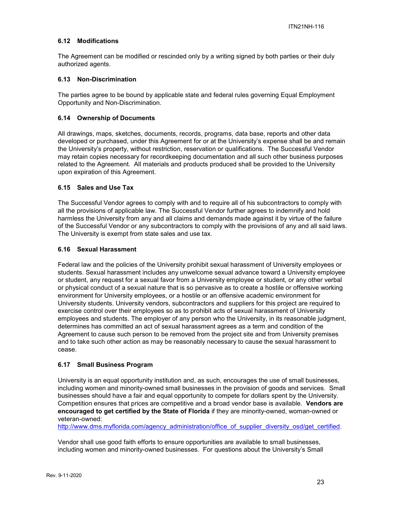# **6.12 Modifications**

The Agreement can be modified or rescinded only by a writing signed by both parties or their duly authorized agents.

#### **6.13 Non-Discrimination**

The parties agree to be bound by applicable state and federal rules governing Equal Employment Opportunity and Non-Discrimination.

#### **6.14 Ownership of Documents**

All drawings, maps, sketches, documents, records, programs, data base, reports and other data developed or purchased, under this Agreement for or at the University's expense shall be and remain the University's property, without restriction, reservation or qualifications. The Successful Vendor may retain copies necessary for recordkeeping documentation and all such other business purposes related to the Agreement. All materials and products produced shall be provided to the University upon expiration of this Agreement.

#### **6.15 Sales and Use Tax**

The Successful Vendor agrees to comply with and to require all of his subcontractors to comply with all the provisions of applicable law. The Successful Vendor further agrees to indemnify and hold harmless the University from any and all claims and demands made against it by virtue of the failure of the Successful Vendor or any subcontractors to comply with the provisions of any and all said laws. The University is exempt from state sales and use tax.

#### **6.16 Sexual Harassment**

Federal law and the policies of the University prohibit sexual harassment of University employees or students. Sexual harassment includes any unwelcome sexual advance toward a University employee or student, any request for a sexual favor from a University employee or student, or any other verbal or physical conduct of a sexual nature that is so pervasive as to create a hostile or offensive working environment for University employees, or a hostile or an offensive academic environment for University students. University vendors, subcontractors and suppliers for this project are required to exercise control over their employees so as to prohibit acts of sexual harassment of University employees and students. The employer of any person who the University, in its reasonable judgment, determines has committed an act of sexual harassment agrees as a term and condition of the Agreement to cause such person to be removed from the project site and from University premises and to take such other action as may be reasonably necessary to cause the sexual harassment to cease.

#### **6.17 Small Business Program**

University is an equal opportunity institution and, as such, encourages the use of small businesses, including women and minority-owned small businesses in the provision of goods and services. Small businesses should have a fair and equal opportunity to compete for dollars spent by the University. Competition ensures that prices are competitive and a broad vendor base is available. **Vendors are encouraged to get certified by the State of Florida** if they are minority-owned, woman-owned or veteran-owned:

[http://www.dms.myflorida.com/agency\\_administration/office\\_of\\_supplier\\_diversity\\_osd/get\\_certified.](http://www.dms.myflorida.com/agency_administration/office_of_supplier_diversity_osd/get_certified)

Vendor shall use good faith efforts to ensure opportunities are available to small businesses, including women and minority-owned businesses. For questions about the University's Small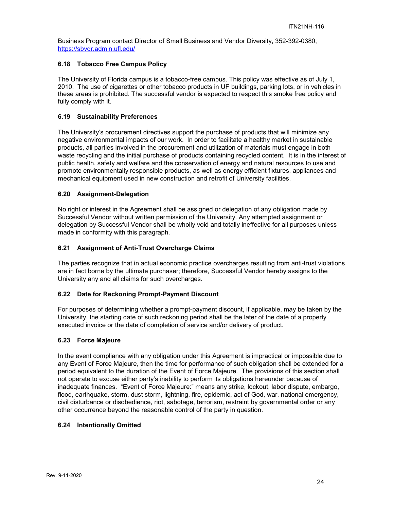Business Program contact Director of Small Business and Vendor Diversity, 352-392-0380, <https://sbvdr.admin.ufl.edu/>

#### **6.18 Tobacco Free Campus Policy**

The University of Florida campus is a tobacco-free campus. This policy was effective as of July 1, 2010. The use of cigarettes or other tobacco products in UF buildings, parking lots, or in vehicles in these areas is prohibited. The successful vendor is expected to respect this smoke free policy and fully comply with it.

#### **6.19 Sustainability Preferences**

The University's procurement directives support the purchase of products that will minimize any negative environmental impacts of our work. In order to facilitate a healthy market in sustainable products, all parties involved in the procurement and utilization of materials must engage in both waste recycling and the initial purchase of products containing recycled content. It is in the interest of public health, safety and welfare and the conservation of energy and natural resources to use and promote environmentally responsible products, as well as energy efficient fixtures, appliances and mechanical equipment used in new construction and retrofit of University facilities.

#### **6.20 Assignment-Delegation**

No right or interest in the Agreement shall be assigned or delegation of any obligation made by Successful Vendor without written permission of the University. Any attempted assignment or delegation by Successful Vendor shall be wholly void and totally ineffective for all purposes unless made in conformity with this paragraph.

#### **6.21 Assignment of Anti-Trust Overcharge Claims**

The parties recognize that in actual economic practice overcharges resulting from anti-trust violations are in fact borne by the ultimate purchaser; therefore, Successful Vendor hereby assigns to the University any and all claims for such overcharges.

#### **6.22 Date for Reckoning Prompt-Payment Discount**

For purposes of determining whether a prompt-payment discount, if applicable, may be taken by the University, the starting date of such reckoning period shall be the later of the date of a properly executed invoice or the date of completion of service and/or delivery of product.

#### **6.23 Force Majeure**

In the event compliance with any obligation under this Agreement is impractical or impossible due to any Event of Force Majeure, then the time for performance of such obligation shall be extended for a period equivalent to the duration of the Event of Force Majeure. The provisions of this section shall not operate to excuse either party's inability to perform its obligations hereunder because of inadequate finances. "Event of Force Majeure:" means any strike, lockout, labor dispute, embargo, flood, earthquake, storm, dust storm, lightning, fire, epidemic, act of God, war, national emergency, civil disturbance or disobedience, riot, sabotage, terrorism, restraint by governmental order or any other occurrence beyond the reasonable control of the party in question.

#### **6.24 Intentionally Omitted**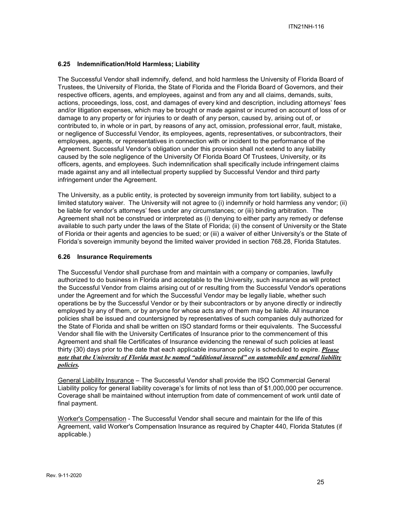# **6.25 Indemnification/Hold Harmless; Liability**

The Successful Vendor shall indemnify, defend, and hold harmless the University of Florida Board of Trustees, the University of Florida, the State of Florida and the Florida Board of Governors, and their respective officers, agents, and employees, against and from any and all claims, demands, suits, actions, proceedings, loss, cost, and damages of every kind and description, including attorneys' fees and/or litigation expenses, which may be brought or made against or incurred on account of loss of or damage to any property or for injuries to or death of any person, caused by, arising out of, or contributed to, in whole or in part, by reasons of any act, omission, professional error, fault, mistake, or negligence of Successful Vendor, its employees, agents, representatives, or subcontractors, their employees, agents, or representatives in connection with or incident to the performance of the Agreement. Successful Vendor's obligation under this provision shall not extend to any liability caused by the sole negligence of the University Of Florida Board Of Trustees, University, or its officers, agents, and employees. Such indemnification shall specifically include infringement claims made against any and all intellectual property supplied by Successful Vendor and third party infringement under the Agreement.

The University, as a public entity, is protected by sovereign immunity from tort liability, subject to a limited statutory waiver. The University will not agree to (i) indemnify or hold harmless any vendor; (ii) be liable for vendor's attorneys' fees under any circumstances; or (iii) binding arbitration. The Agreement shall not be construed or interpreted as (i) denying to either party any remedy or defense available to such party under the laws of the State of Florida; (ii) the consent of University or the State of Florida or their agents and agencies to be sued; or (iii) a waiver of either University's or the State of Florida's sovereign immunity beyond the limited waiver provided in section 768.28, Florida Statutes.

#### **6.26 Insurance Requirements**

The Successful Vendor shall purchase from and maintain with a company or companies, lawfully authorized to do business in Florida and acceptable to the University, such insurance as will protect the Successful Vendor from claims arising out of or resulting from the Successful Vendor's operations under the Agreement and for which the Successful Vendor may be legally liable, whether such operations be by the Successful Vendor or by their subcontractors or by anyone directly or indirectly employed by any of them, or by anyone for whose acts any of them may be liable. All insurance policies shall be issued and countersigned by representatives of such companies duly authorized for the State of Florida and shall be written on ISO standard forms or their equivalents. The Successful Vendor shall file with the University Certificates of Insurance prior to the commencement of this Agreement and shall file Certificates of Insurance evidencing the renewal of such policies at least thirty (30) days prior to the date that each applicable insurance policy is scheduled to expire. *Please note that the University of Florida must be named "additional insured" on automobile and general liability policies.*

General Liability Insurance – The Successful Vendor shall provide the ISO Commercial General Liability policy for general liability coverage's for limits of not less than of \$1,000,000 per occurrence. Coverage shall be maintained without interruption from date of commencement of work until date of final payment.

Worker's Compensation - The Successful Vendor shall secure and maintain for the life of this Agreement, valid Worker's Compensation Insurance as required by Chapter 440, Florida Statutes (if applicable.)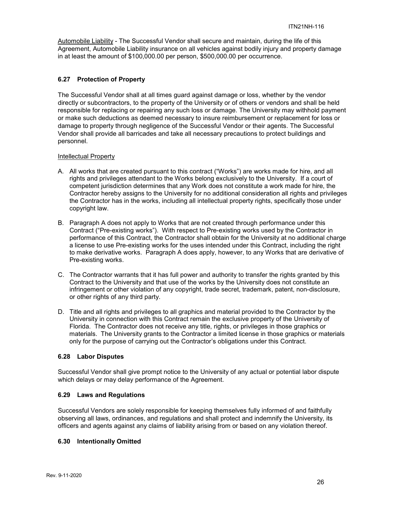Automobile Liability - The Successful Vendor shall secure and maintain, during the life of this Agreement, Automobile Liability insurance on all vehicles against bodily injury and property damage in at least the amount of \$100,000.00 per person, \$500,000.00 per occurrence.

#### **6.27 Protection of Property**

The Successful Vendor shall at all times guard against damage or loss, whether by the vendor directly or subcontractors, to the property of the University or of others or vendors and shall be held responsible for replacing or repairing any such loss or damage. The University may withhold payment or make such deductions as deemed necessary to insure reimbursement or replacement for loss or damage to property through negligence of the Successful Vendor or their agents. The Successful Vendor shall provide all barricades and take all necessary precautions to protect buildings and personnel.

#### Intellectual Property

- A. All works that are created pursuant to this contract ("Works") are works made for hire, and all rights and privileges attendant to the Works belong exclusively to the University. If a court of competent jurisdiction determines that any Work does not constitute a work made for hire, the Contractor hereby assigns to the University for no additional consideration all rights and privileges the Contractor has in the works, including all intellectual property rights, specifically those under copyright law.
- B. Paragraph A does not apply to Works that are not created through performance under this Contract ("Pre-existing works"). With respect to Pre-existing works used by the Contractor in performance of this Contract, the Contractor shall obtain for the University at no additional charge a license to use Pre-existing works for the uses intended under this Contract, including the right to make derivative works. Paragraph A does apply, however, to any Works that are derivative of Pre-existing works.
- C. The Contractor warrants that it has full power and authority to transfer the rights granted by this Contract to the University and that use of the works by the University does not constitute an infringement or other violation of any copyright, trade secret, trademark, patent, non-disclosure, or other rights of any third party.
- D. Title and all rights and privileges to all graphics and material provided to the Contractor by the University in connection with this Contract remain the exclusive property of the University of Florida. The Contractor does not receive any title, rights, or privileges in those graphics or materials. The University grants to the Contractor a limited license in those graphics or materials only for the purpose of carrying out the Contractor's obligations under this Contract.

#### **6.28 Labor Disputes**

Successful Vendor shall give prompt notice to the University of any actual or potential labor dispute which delays or may delay performance of the Agreement.

#### **6.29 Laws and Regulations**

Successful Vendors are solely responsible for keeping themselves fully informed of and faithfully observing all laws, ordinances, and regulations and shall protect and indemnify the University, its officers and agents against any claims of liability arising from or based on any violation thereof.

#### **6.30 Intentionally Omitted**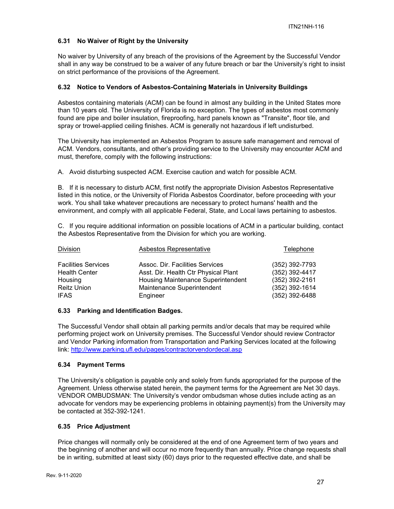# **6.31 No Waiver of Right by the University**

No waiver by University of any breach of the provisions of the Agreement by the Successful Vendor shall in any way be construed to be a waiver of any future breach or bar the University's right to insist on strict performance of the provisions of the Agreement.

# **6.32 Notice to Vendors of Asbestos-Containing Materials in University Buildings**

Asbestos containing materials (ACM) can be found in almost any building in the United States more than 10 years old. The University of Florida is no exception. The types of asbestos most commonly found are pipe and boiler insulation, fireproofing, hard panels known as "Transite", floor tile, and spray or trowel-applied ceiling finishes. ACM is generally not hazardous if left undisturbed.

The University has implemented an Asbestos Program to assure safe management and removal of ACM. Vendors, consultants, and other's providing service to the University may encounter ACM and must, therefore, comply with the following instructions:

A. Avoid disturbing suspected ACM. Exercise caution and watch for possible ACM.

B. If it is necessary to disturb ACM, first notify the appropriate Division Asbestos Representative listed in this notice, or the University of Florida Asbestos Coordinator, before proceeding with your work. You shall take whatever precautions are necessary to protect humans' health and the environment, and comply with all applicable Federal, State, and Local laws pertaining to asbestos.

C. If you require additional information on possible locations of ACM in a particular building, contact the Asbestos Representative from the Division for which you are working.

| Division                   | Asbestos Representative              | Telephone        |
|----------------------------|--------------------------------------|------------------|
| <b>Facilities Services</b> | Assoc. Dir. Facilities Services      | (352) 392-7793   |
| <b>Health Center</b>       | Asst. Dir. Health Ctr Physical Plant | (352) 392-4417   |
| Housing                    | Housing Maintenance Superintendent   | $(352)$ 392-2161 |
| <b>Reitz Union</b>         | Maintenance Superintendent           | (352) 392-1614   |
| <b>IFAS</b>                | Engineer                             | (352) 392-6488   |

# **6.33 Parking and Identification Badges.**

The Successful Vendor shall obtain all parking permits and/or decals that may be required while performing project work on University premises. The Successful Vendor should review Contractor and Vendor Parking information from Transportation and Parking Services located at the following link:<http://www.parking.ufl.edu/pages/contractorvendordecal.asp>

# **6.34 Payment Terms**

The University's obligation is payable only and solely from funds appropriated for the purpose of the Agreement. Unless otherwise stated herein, the payment terms for the Agreement are Net 30 days. VENDOR OMBUDSMAN: The University's vendor ombudsman whose duties include acting as an advocate for vendors may be experiencing problems in obtaining payment(s) from the University may be contacted at 352-392-1241.

# **6.35 Price Adjustment**

Price changes will normally only be considered at the end of one Agreement term of two years and the beginning of another and will occur no more frequently than annually. Price change requests shall be in writing, submitted at least sixty (60) days prior to the requested effective date, and shall be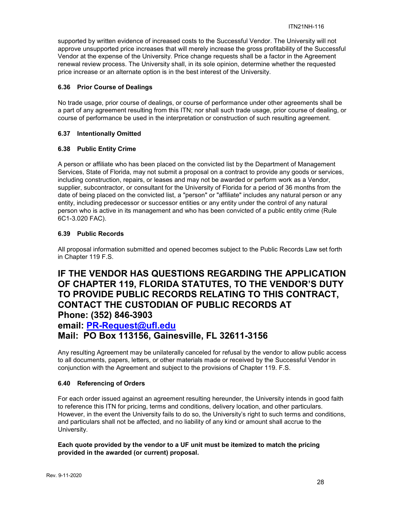supported by written evidence of increased costs to the Successful Vendor. The University will not approve unsupported price increases that will merely increase the gross profitability of the Successful Vendor at the expense of the University. Price change requests shall be a factor in the Agreement renewal review process. The University shall, in its sole opinion, determine whether the requested price increase or an alternate option is in the best interest of the University.

# **6.36 Prior Course of Dealings**

No trade usage, prior course of dealings, or course of performance under other agreements shall be a part of any agreement resulting from this ITN; nor shall such trade usage, prior course of dealing, or course of performance be used in the interpretation or construction of such resulting agreement.

# **6.37 Intentionally Omitted**

# **6.38 Public Entity Crime**

A person or affiliate who has been placed on the convicted list by the Department of Management Services, State of Florida, may not submit a proposal on a contract to provide any goods or services, including construction, repairs, or leases and may not be awarded or perform work as a Vendor, supplier, subcontractor, or consultant for the University of Florida for a period of 36 months from the date of being placed on the convicted list, a "person" or "affiliate" includes any natural person or any entity, including predecessor or successor entities or any entity under the control of any natural person who is active in its management and who has been convicted of a public entity crime (Rule 6C1-3.020 FAC).

# **6.39 Public Records**

All proposal information submitted and opened becomes subject to the Public Records Law set forth in Chapter 119 F.S.

# **IF THE VENDOR HAS QUESTIONS REGARDING THE APPLICATION OF CHAPTER 119, FLORIDA STATUTES, TO THE VENDOR'S DUTY TO PROVIDE PUBLIC RECORDS RELATING TO THIS CONTRACT, CONTACT THE CUSTODIAN OF PUBLIC RECORDS AT Phone: (352) 846-3903**

# **email: [PR-Request@ufl.edu](mailto:PR-Request@ufl.edu)**

# **Mail: PO Box 113156, Gainesville, FL 32611-3156**

Any resulting Agreement may be unilaterally canceled for refusal by the vendor to allow public access to all documents, papers, letters, or other materials made or received by the Successful Vendor in conjunction with the Agreement and subject to the provisions of Chapter 119. F.S.

# **6.40 Referencing of Orders**

For each order issued against an agreement resulting hereunder, the University intends in good faith to reference this ITN for pricing, terms and conditions, delivery location, and other particulars. However, in the event the University fails to do so, the University's right to such terms and conditions, and particulars shall not be affected, and no liability of any kind or amount shall accrue to the University.

# **Each quote provided by the vendor to a UF unit must be itemized to match the pricing provided in the awarded (or current) proposal.**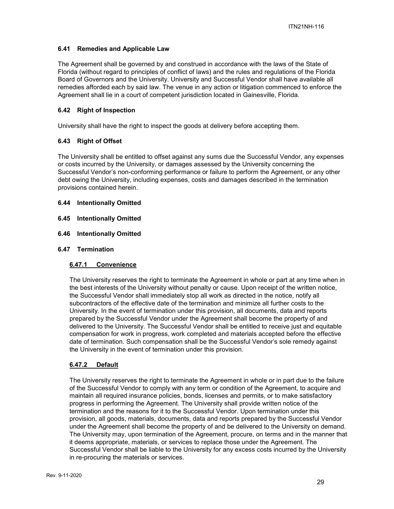# **6.41 Remedies and Applicable Law**

The Agreement shall be governed by and construed in accordance with the laws of the State of Florida (without regard to principles of conflict of laws) and the rules and regulations of the Florida Board of Governors and the University. University and Successful Vendor shall have available all remedies afforded each by said law. The venue in any action or litigation commenced to enforce the Agreement shall lie in a court of competent jurisdiction located in Gainesville, Florida.

#### **6.42 Right of Inspection**

University shall have the right to inspect the goods at delivery before accepting them.

# **6.43 Right of Offset**

The University shall be entitled to offset against any sums due the Successful Vendor, any expenses or costs incurred by the University, or damages assessed by the University concerning the Successful Vendor's non-conforming performance or failure to perform the Agreement, or any other debt owing the University, including expenses, costs and damages described in the termination provisions contained herein.

#### **6.44 Intentionally Omitted**

- **6.45 Intentionally Omitted**
- **6.46 Intentionally Omitted**

#### **6.47 Termination**

#### **6.47.1 Convenience**

The University reserves the right to terminate the Agreement in whole or part at any time when in the best interests of the University without penalty or cause. Upon receipt of the written notice, the Successful Vendor shall immediately stop all work as directed in the notice, notify all subcontractors of the effective date of the termination and minimize all further costs to the University. In the event of termination under this provision, all documents, data and reports prepared by the Successful Vendor under the Agreement shall become the property of and delivered to the University. The Successful Vendor shall be entitled to receive just and equitable compensation for work in progress, work completed and materials accepted before the effective date of termination. Such compensation shall be the Successful Vendor's sole remedy against the University in the event of termination under this provision.

#### **6.47.2 Default**

The University reserves the right to terminate the Agreement in whole or in part due to the failure of the Successful Vendor to comply with any term or condition of the Agreement, to acquire and maintain all required insurance policies, bonds, licenses and permits, or to make satisfactory progress in performing the Agreement. The University shall provide written notice of the termination and the reasons for it to the Successful Vendor. Upon termination under this provision, all goods, materials, documents, data and reports prepared by the Successful Vendor under the Agreement shall become the property of and be delivered to the University on demand. The University may, upon termination of the Agreement, procure, on terms and in the manner that it deems appropriate, materials, or services to replace those under the Agreement. The Successful Vendor shall be liable to the University for any excess costs incurred by the University in re-procuring the materials or services.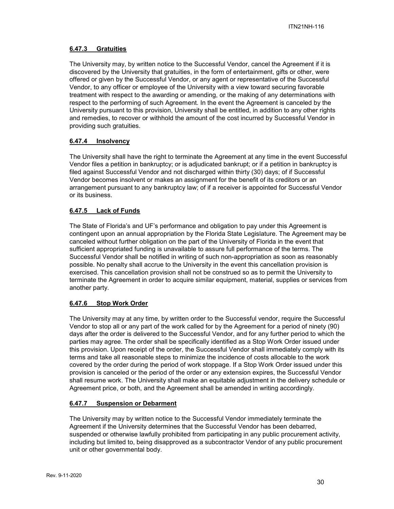# **6.47.3 Gratuities**

The University may, by written notice to the Successful Vendor, cancel the Agreement if it is discovered by the University that gratuities, in the form of entertainment, gifts or other, were offered or given by the Successful Vendor, or any agent or representative of the Successful Vendor, to any officer or employee of the University with a view toward securing favorable treatment with respect to the awarding or amending, or the making of any determinations with respect to the performing of such Agreement. In the event the Agreement is canceled by the University pursuant to this provision, University shall be entitled, in addition to any other rights and remedies, to recover or withhold the amount of the cost incurred by Successful Vendor in providing such gratuities.

# **6.47.4 Insolvency**

The University shall have the right to terminate the Agreement at any time in the event Successful Vendor files a petition in bankruptcy; or is adjudicated bankrupt; or if a petition in bankruptcy is filed against Successful Vendor and not discharged within thirty (30) days; of if Successful Vendor becomes insolvent or makes an assignment for the benefit of its creditors or an arrangement pursuant to any bankruptcy law; of if a receiver is appointed for Successful Vendor or its business.

# **6.47.5 Lack of Funds**

The State of Florida's and UF's performance and obligation to pay under this Agreement is contingent upon an annual appropriation by the Florida State Legislature. The Agreement may be canceled without further obligation on the part of the University of Florida in the event that sufficient appropriated funding is unavailable to assure full performance of the terms. The Successful Vendor shall be notified in writing of such non-appropriation as soon as reasonably possible. No penalty shall accrue to the University in the event this cancellation provision is exercised. This cancellation provision shall not be construed so as to permit the University to terminate the Agreement in order to acquire similar equipment, material, supplies or services from another party.

# **6.47.6 Stop Work Order**

The University may at any time, by written order to the Successful vendor, require the Successful Vendor to stop all or any part of the work called for by the Agreement for a period of ninety (90) days after the order is delivered to the Successful Vendor, and for any further period to which the parties may agree. The order shall be specifically identified as a Stop Work Order issued under this provision. Upon receipt of the order, the Successful Vendor shall immediately comply with its terms and take all reasonable steps to minimize the incidence of costs allocable to the work covered by the order during the period of work stoppage. If a Stop Work Order issued under this provision is canceled or the period of the order or any extension expires, the Successful Vendor shall resume work. The University shall make an equitable adjustment in the delivery schedule or Agreement price, or both, and the Agreement shall be amended in writing accordingly.

# **6.47.7 Suspension or Debarment**

The University may by written notice to the Successful Vendor immediately terminate the Agreement if the University determines that the Successful Vendor has been debarred, suspended or otherwise lawfully prohibited from participating in any public procurement activity, including but limited to, being disapproved as a subcontractor Vendor of any public procurement unit or other governmental body.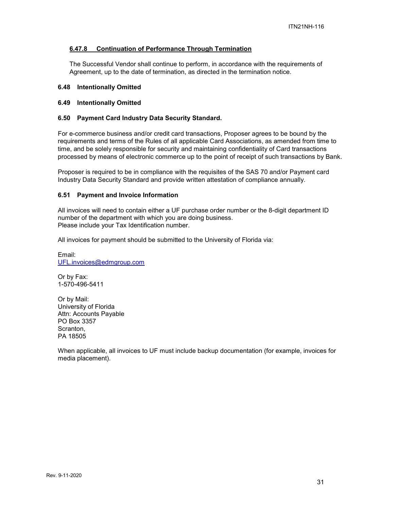# **6.47.8 Continuation of Performance Through Termination**

The Successful Vendor shall continue to perform, in accordance with the requirements of Agreement, up to the date of termination, as directed in the termination notice.

#### **6.48 Intentionally Omitted**

#### **6.49 Intentionally Omitted**

#### **6.50 Payment Card Industry Data Security Standard.**

For e-commerce business and/or credit card transactions, Proposer agrees to be bound by the requirements and terms of the Rules of all applicable Card Associations, as amended from time to time, and be solely responsible for security and maintaining confidentiality of Card transactions processed by means of electronic commerce up to the point of receipt of such transactions by Bank.

Proposer is required to be in compliance with the requisites of the SAS 70 and/or Payment card Industry Data Security Standard and provide written attestation of compliance annually.

#### **6.51 Payment and Invoice Information**

All invoices will need to contain either a UF purchase order number or the 8-digit department ID number of the department with which you are doing business. Please include your Tax Identification number.

All invoices for payment should be submitted to the University of Florida via:

Email: [UFL.invoices@edmgroup.com](mailto:UFL.invoices@edmgroup.com)

Or by Fax: 1-570-496-5411

Or by Mail: University of Florida Attn: Accounts Payable PO Box 3357 Scranton, PA 18505

When applicable, all invoices to UF must include backup documentation (for example, invoices for media placement).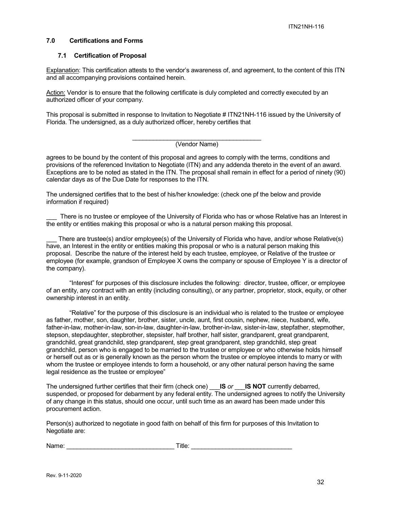#### **7.0 Certifications and Forms**

#### **7.1 Certification of Proposal**

Explanation: This certification attests to the vendor's awareness of, and agreement, to the content of this ITN and all accompanying provisions contained herein.

Action: Vendor is to ensure that the following certificate is duly completed and correctly executed by an authorized officer of your company.

This proposal is submitted in response to Invitation to Negotiate # ITN21NH-116 issued by the University of Florida. The undersigned, as a duly authorized officer, hereby certifies that

#### \_\_\_\_\_\_\_\_\_\_\_\_\_\_\_\_\_\_\_\_\_\_\_\_\_\_\_\_\_\_\_\_\_\_\_\_\_ (Vendor Name)

agrees to be bound by the content of this proposal and agrees to comply with the terms, conditions and provisions of the referenced Invitation to Negotiate (ITN) and any addenda thereto in the event of an award. Exceptions are to be noted as stated in the ITN. The proposal shall remain in effect for a period of ninety (90) calendar days as of the Due Date for responses to the ITN.

The undersigned certifies that to the best of his/her knowledge: (check one pf the below and provide information if required)

There is no trustee or employee of the University of Florida who has or whose Relative has an Interest in the entity or entities making this proposal or who is a natural person making this proposal.

There are trustee(s) and/or employee(s) of the University of Florida who have, and/or whose Relative(s) have, an Interest in the entity or entities making this proposal or who is a natural person making this proposal. Describe the nature of the interest held by each trustee, employee, or Relative of the trustee or employee (for example, grandson of Employee X owns the company or spouse of Employee Y is a director of the company).

"Interest" for purposes of this disclosure includes the following: director, trustee, officer, or employee of an entity, any contract with an entity (including consulting), or any partner, proprietor, stock, equity, or other ownership interest in an entity.

"Relative" for the purpose of this disclosure is an individual who is related to the trustee or employee as father, mother, son, daughter, brother, sister, uncle, aunt, first cousin, nephew, niece, husband, wife, father-in-law, mother-in-law, son-in-law, daughter-in-law, brother-in-law, sister-in-law, stepfather, stepmother, stepson, stepdaughter, stepbrother, stepsister, half brother, half sister, grandparent, great grandparent, grandchild, great grandchild, step grandparent, step great grandparent, step grandchild, step great grandchild, person who is engaged to be married to the trustee or employee or who otherwise holds himself or herself out as or is generally known as the person whom the trustee or employee intends to marry or with whom the trustee or employee intends to form a household, or any other natural person having the same legal residence as the trustee or employee"

The undersigned further certifies that their firm (check one) \_\_\_**IS** *or* \_\_\_**IS NOT** currently debarred, suspended, or proposed for debarment by any federal entity. The undersigned agrees to notify the University of any change in this status, should one occur, until such time as an award has been made under this procurement action.

Person(s) authorized to negotiate in good faith on behalf of this firm for purposes of this Invitation to Negotiate are:

| Name:<br>٦ь | itle. |
|-------------|-------|
|             |       |